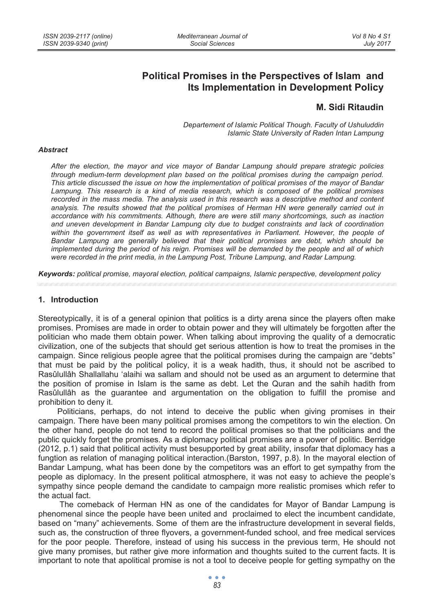# **Political Promises in the Perspectives of Islam and Its Implementation in Development Policy**

# **M. Sidi Ritaudin**

*Departement of Islamic Political Though. Faculty of Ushuluddin Islamic State University of Raden Intan Lampung* 

#### *Abstract*

*After the election, the mayor and vice mayor of Bandar Lampung should prepare strategic policies through medium-term development plan based on the political promises during the campaign period. This article discussed the issue on how the implementation of political promises of the mayor of Bandar Lampung. This research is a kind of media research, which is composed of the political promises recorded in the mass media. The analysis used in this research was a descriptive method and content analysis. The results showed that the political promises of Herman HN were generally carried out in accordance with his commitments. Although, there are were still many shortcomings, such as inaction and uneven development in Bandar Lampung city due to budget constraints and lack of coordination*  within the government itself as well as with representatives in Parliament. However, the people of *Bandar Lampung are generally believed that their political promises are debt, which should be implemented during the period of his reign. Promises will be demanded by the people and all of which were recorded in the print media, in the Lampung Post, Tribune Lampung, and Radar Lampung.* 

*Keywords: political promise, mayoral election, political campaigns, Islamic perspective, development policy* 

#### **1. Introduction**

Stereotypically, it is of a general opinion that politics is a dirty arena since the players often make promises. Promises are made in order to obtain power and they will ultimately be forgotten after the politician who made them obtain power. When talking about improving the quality of a democratic civilization, one of the subjects that should get serious attention is how to treat the promises in the campaign. Since religious people agree that the political promises during the campaign are "debts" that must be paid by the political policy, it is a weak hadith, thus, it should not be ascribed to Rasûlullâh Shallallahu 'alaihi wa sallam and should not be used as an argument to determine that the position of promise in Islam is the same as debt. Let the Quran and the sahih hadith from Rasûlullâh as the guarantee and argumentation on the obligation to fulfill the promise and prohibition to deny it.

Politicians, perhaps, do not intend to deceive the public when giving promises in their campaign. There have been many political promises among the competitors to win the election. On the other hand, people do not tend to record the political promises so that the politicians and the public quickly forget the promises. As a diplomacy political promises are a power of politic. Berridge (2012, p.1) said that political activity must besupported by great ability, insofar that diplomacy has a fungtion as relation of managing political interaction.(Barston, 1997, p.8). In the mayoral election of Bandar Lampung, what has been done by the competitors was an effort to get sympathy from the people as diplomacy. In the present political atmosphere, it was not easy to achieve the people's sympathy since people demand the candidate to campaign more realistic promises which refer to the actual fact.

 The comeback of Herman HN as one of the candidates for Mayor of Bandar Lampung is phenomenal since the people have been united and proclaimed to elect the incumbent candidate, based on "many" achievements. Some of them are the infrastructure development in several fields, such as, the construction of three flyovers, a government-funded school, and free medical services for the poor people. Therefore, instead of using his success in the previous term, He should not give many promises, but rather give more information and thoughts suited to the current facts. It is important to note that apolitical promise is not a tool to deceive people for getting sympathy on the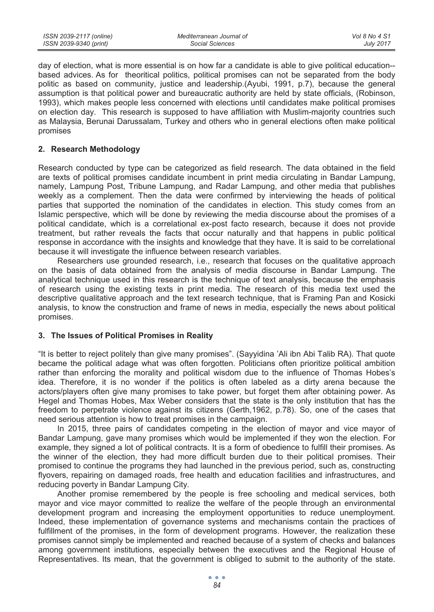day of election, what is more essential is on how far a candidate is able to give political education- based advices. As for theoritical politics, political promises can not be separated from the body politic as based on community, justice and leadership.(Ayubi, 1991, p.7), because the general assumption is that political power and bureaucratic authority are held by state officials, (Robinson, 1993), which makes people less concerned with elections until candidates make political promises on election day. This research is supposed to have affiliation with Muslim-majority countries such as Malaysia, Berunai Darussalam, Turkey and others who in general elections often make political promises

## **2. Research Methodology**

Research conducted by type can be categorized as field research. The data obtained in the field are texts of political promises candidate incumbent in print media circulating in Bandar Lampung, namely, Lampung Post, Tribune Lampung, and Radar Lampung, and other media that publishes weekly as a complement. Then the data were confirmed by interviewing the heads of political parties that supported the nomination of the candidates in election. This study comes from an Islamic perspective, which will be done by reviewing the media discourse about the promises of a political candidate, which is a correlational ex-post facto research, because it does not provide treatment, but rather reveals the facts that occur naturally and that happens in public political response in accordance with the insights and knowledge that they have. It is said to be correlational because it will investigate the influence between research variables.

Researchers use grounded research, i.e., research that focuses on the qualitative approach on the basis of data obtained from the analysis of media discourse in Bandar Lampung. The analytical technique used in this research is the technique of text analysis, because the emphasis of research using the existing texts in print media. The research of this media text used the descriptive qualitative approach and the text research technique, that is Framing Pan and Kosicki analysis, to know the construction and frame of news in media, especially the news about political promises.

## **3. The Issues of Political Promises in Reality**

"It is better to reject politely than give many promises". (Sayyidina 'Ali ibn Abi Talib RA). That quote became the political adage what was often forgotten. Politicians often prioritize political ambition rather than enforcing the morality and political wisdom due to the influence of Thomas Hobes's idea. Therefore, it is no wonder if the politics is often labeled as a dirty arena because the actors/players often give many promises to take power, but forget them after obtaining power. As Hegel and Thomas Hobes, Max Weber considers that the state is the only institution that has the freedom to perpetrate violence against its citizens (Gerth,1962, p.78). So, one of the cases that need serious attention is how to treat promises in the campaign.

In 2015, three pairs of candidates competing in the election of mayor and vice mayor of Bandar Lampung, gave many promises which would be implemented if they won the election. For example, they signed a lot of political contracts. It is a form of obedience to fulfill their promises. As the winner of the election, they had more difficult burden due to their political promises. Their promised to continue the programs they had launched in the previous period, such as, constructing flyovers, repairing on damaged roads, free health and education facilities and infrastructures, and reducing poverty in Bandar Lampung City.

Another promise remembered by the people is free schooling and medical services, both mayor and vice mayor committed to realize the welfare of the people through an environmental development program and increasing the employment opportunities to reduce unemployment. Indeed, these implementation of governance systems and mechanisms contain the practices of fulfillment of the promises, in the form of development programs. However, the realization these promises cannot simply be implemented and reached because of a system of checks and balances among government institutions, especially between the executives and the Regional House of Representatives. Its mean, that the government is obliged to submit to the authority of the state.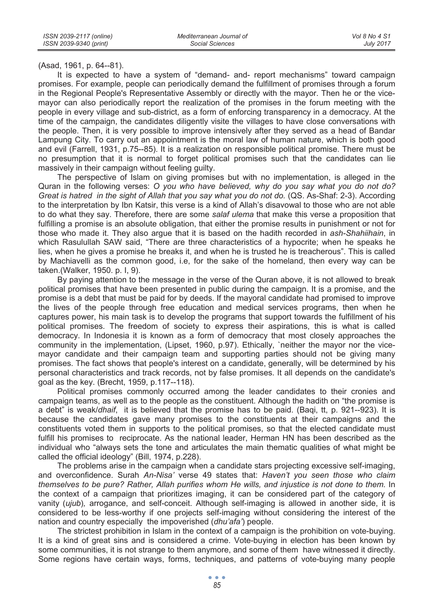(Asad, 1961, p. 64--81).

It is expected to have a system of "demand- and- report mechanisms" toward campaign promises. For example, people can periodically demand the fulfillment of promises through a forum in the Regional People's Representative Assembly or directly with the mayor. Then he or the vicemayor can also periodically report the realization of the promises in the forum meeting with the people in every village and sub-district, as a form of enforcing transparency in a democracy. At the time of the campaign, the candidates diligently visite the villages to have close conversations with the people. Then, it is very possible to improve intensively after they served as a head of Bandar Lampung City. To carry out an appointment is the moral law of human nature, which is both good and evil (Farrell, 1931, p.75--85). It is a realization on responsible political promise. There must be no presumption that it is normal to forget political promises such that the candidates can lie massively in their campaign without feeling guilty.

The perspective of Islam on giving promises but with no implementation, is alleged in the Quran in the following verses: *O you who have believed, why do you say what you do not do? Great is hatred in the sight of Allah that you say what you do not do.* (QS. As-Shaf: 2-3). According to the interpretation by Ibn Katsir, this verse is a kind of Allah's disavowal to those who are not able to do what they say. Therefore, there are some *salaf ulema* that make this verse a proposition that fulfilling a promise is an absolute obligation, that either the promise results in punishment or not for those who made it. They also argue that it is based on the hadith recorded in *ash-Shahiihain*, in which Rasulullah SAW said, "There are three characteristics of a hypocrite; when he speaks he lies, when he gives a promise he breaks it, and when he is trusted he is treacherous". This is called by Machiavelli as the common good, i.e, for the sake of the homeland, then every way can be taken.(Walker, 1950. p. I, 9).

By paying attention to the message in the verse of the Quran above, it is not allowed to break political promises that have been presented in public during the campaign. It is a promise, and the promise is a debt that must be paid for by deeds. If the mayoral candidate had promised to improve the lives of the people through free education and medical services programs, then when he captures power, his main task is to develop the programs that support towards the fulfillment of his political promises. The freedom of society to express their aspirations, this is what is called democracy. In Indonesia it is known as a form of democracy that most closely approaches the community in the implementation, (Lipset, 1960, p.97). Ethically, `neither the mayor nor the vicemayor candidate and their campaign team and supporting parties should not be giving many promises. The fact shows that people's interest on a candidate, generally, will be determined by his personal characteristics and track records, not by false promises. It all depends on the candidate's goal as the key. (Brecht, 1959, p.117--118).

Political promises commonly occurred among the leader candidates to their cronies and campaign teams, as well as to the people as the constituent. Although the hadith on "the promise is a debt" is weak/*dhaif*, it is believed that the promise has to be paid. (Baqi, tt, p. 921--923). It is because the candidates gave many promises to the constituents at their campaigns and the constituents voted them in supports to the political promises, so that the elected candidate must fulfill his promises to reciprocate. As the national leader, Herman HN has been described as the individual who "always sets the tone and articulates the main thematic qualities of what might be called the official ideology" (Bill, 1974, p.228).

The problems arise in the campaign when a candidate stars projecting excessive self-imaging, and overconfidence. Surah *An-Nisa'* verse 49 states that: *Haven't you seen those who claim themselves to be pure? Rather, Allah purifies whom He wills, and injustice is not done to them.* In the context of a campaign that prioritizes imaging, it can be considered part of the category of vanity (*ujub*)*,* arrogance, and self-conceit. Although self-imaging is allowed in another side, it is considered to be less-worthy if one projects self-imaging without considering the interest of the nation and country especially the impoverished (*dhu'afa'*) people.

The strictest prohibition in Islam in the context of a campaign is the prohibition on vote-buying. It is a kind of great sins and is considered a crime. Vote-buying in election has been known by some communities, it is not strange to them anymore, and some of them have witnessed it directly. Some regions have certain ways, forms, techniques, and patterns of vote-buying many people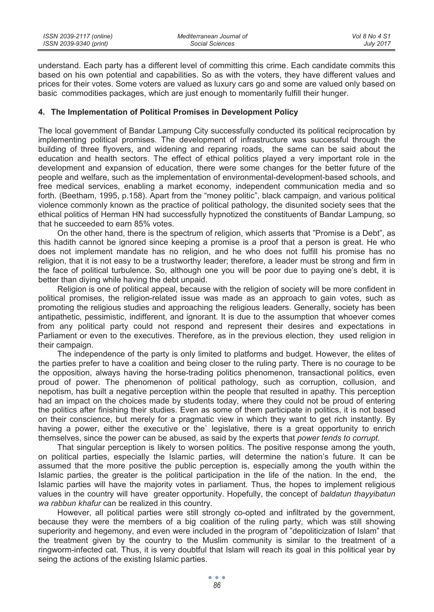| ISSN 2039-2117 (online) | Mediterranean Journal of | Vol 8 No 4 S1    |
|-------------------------|--------------------------|------------------|
| ISSN 2039-9340 (print)  | Social Sciences          | <b>July 2017</b> |

understand. Each party has a different level of committing this crime. Each candidate commits this based on his own potential and capabilities. So as with the voters, they have different values and prices for their votes. Some voters are valued as luxury cars go and some are valued only based on basic commodities packages, which are just enough to momentarily fulfill their hunger.

### **4. The Implementation of Political Promises in Development Policy**

The local government of Bandar Lampung City successfully conducted its political reciprocation by implementing political promises. The development of infrastructure was successful through the building of three flyovers, and widening and reparing roads, the same can be said about the education and health sectors. The effect of ethical politics played a very important role in the development and expansion of education, there were some changes for the better future of the people and welfare, such as the implementation of environmental-development-based schools, and free medical services, enabling a market economy, independent communication media and so forth. (Beetham, 1995, p.158). Apart from the "money politic", black campaign, and various political violence commonly known as the practice of political pathology, the disunited society sees that the ethical politics of Herman HN had successfully hypnotized the constituents of Bandar Lampung, so that he succeeded to earn 85% votes.

On the other hand, there is the spectrum of religion, which asserts that "Promise is a Debt", as this hadith cannot be ignored since keeping a promise is a proof that a person is great. He who does not implement mandate has no religion, and he who does not fulfill his promise has no religion, that it is not easy to be a trustworthy leader; therefore, a leader must be strong and firm in the face of political turbulence. So, although one you will be poor due to paying one's debt, it is better than diying while having the debt unpaid.

Religion is one of political appeal, because with the religion of society will be more confident in political promises, the religion-related issue was made as an approach to gain votes, such as promoting the religious studies and approaching the religious leaders. Generally, society has been antipathetic, pessimistic, indifferent, and ignorant. It is due to the assumption that whoever comes from any political party could not respond and represent their desires and expectations in Parliament or even to the executives. Therefore, as in the previous election, they used religion in their campaign.

The independence of the party is only limited to platforms and budget. However, the elites of the parties prefer to have a coalition and being closer to the ruling party. There is no courage to be the opposition, always having the horse-trading politics phenomenon, transactional politics, even proud of power. The phenomenon of political pathology, such as corruption, collusion, and nepotism, has built a negative perception within the people that resulted in apathy. This perception had an impact on the choices made by students today, where they could not be proud of entering the politics after finishing their studies. Even as some of them participate in politics, it is not based on their conscience, but merely for a pragmatic view in which they want to get rich instantly. By having a power, either the executive or the` legislative, there is a great opportunity to enrich themselves, since the power can be abused, as said by the experts that *power tends to corrupt*.

That singular perception is likely to worsen politics. The positive response among the youth, on political parties, especially the Islamic parties, will determine the nation's future. It can be assumed that the more positive the public perception is, especially among the youth within the Islamic parties, the greater is the political participation in the life of the nation. In the end, the Islamic parties will have the majority votes in parliament. Thus, the hopes to implement religious values in the country will have greater opportunity. Hopefully, the concept of *baldatun thayyibatun wa rabbun khafur* can be realized in this country.

However, all political parties were still strongly co-opted and infiltrated by the government, because they were the members of a big coalition of the ruling party, which was still showing superiority and hegemony, and even were included in the program of "depoliticization of Islam" that the treatment given by the country to the Muslim community is similar to the treatment of a ringworm-infected cat. Thus, it is very doubtful that Islam will reach its goal in this political year by seing the actions of the existing Islamic parties.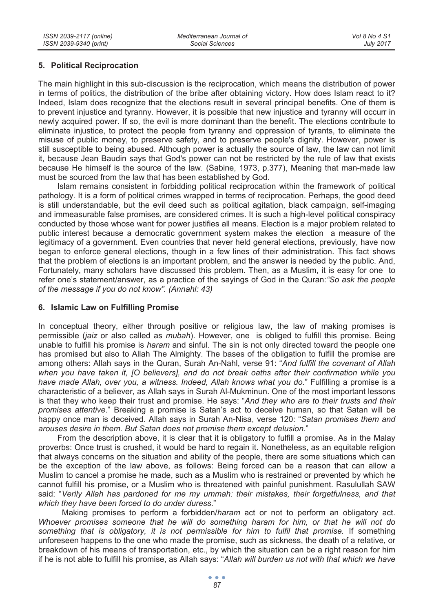## **5. Political Reciprocation**

The main highlight in this sub-discussion is the reciprocation, which means the distribution of power in terms of politics, the distribution of the bribe after obtaining victory. How does Islam react to it? Indeed, Islam does recognize that the elections result in several principal benefits. One of them is to prevent injustice and tyranny. However, it is possible that new injustice and tyranny will occurr in newly acquired power. If so, the evil is more dominant than the benefit. The elections contribute to eliminate injustice, to protect the people from tyranny and oppression of tyrants, to eliminate the misuse of public money, to preserve safety, and to preserve people's dignity. However, power is still susceptible to being abused. Although power is actually the source of law, the law can not limit it, because Jean Baudin says that God's power can not be restricted by the rule of law that exists because He himself is the source of the law. (Sabine, 1973, p.377), Meaning that man-made law must be sourced from the law that has been established by God.

Islam remains consistent in forbidding political reciprocation within the framework of political pathology. It is a form of political crimes wrapped in terms of reciprocation. Perhaps, the good deed is still understandable, but the evil deed such as political agitation, black campaign, self-imaging and immeasurable false promises, are considered crimes. It is such a high-level political conspiracy conducted by those whose want for power justifies all means. Election is a major problem related to public interest because a democratic government system makes the election a measure of the legitimacy of a government. Even countries that never held general elections, previously, have now began to enforce general elections, though in a few lines of their administration. This fact shows that the problem of elections is an important problem, and the answer is needed by the public. And, Fortunately, many scholars have discussed this problem. Then, as a Muslim, it is easy for one to refer one's statement/answer, as a practice of the sayings of God in the Quran:*"So ask the people of the message if you do not know". (Annahl: 43)*

## **6. Islamic Law on Fulfilling Promise**

In conceptual theory, either through positive or religious law, the law of making promises is permissible (*jaiz* or also called as *mubah*). However, one is obliged to fulfill this promise. Being unable to fulfill his promise is *haram* and sinful. The sin is not only directed toward the people one has promised but also to Allah The Almighty. The bases of the obligation to fulfill the promise are among others: Allah says in the Quran, Surah An-Nahl, verse 91: "*And fulfill the covenant of Allah when you have taken it, [O believers], and do not break oaths after their confirmation while you have made Allah, over you, a witness. Indeed, Allah knows what you do.*" Fulfilling a promise is a characteristic of a believer, as Allah says in Surah Al-Mukminun. One of the most important lessons is that they who keep their trust and promise. He says: "*And they who are to their trusts and their promises attentive*." Breaking a promise is Satan's act to deceive human, so that Satan will be happy once man is deceived. Allah says in Surah An-Nisa, verse 120: "*Satan promises them and arouses desire in them. But Satan does not promise them except delusion*."

From the description above, it is clear that it is obligatory to fulfill a promise. As in the Malay proverbs: Once trust is crushed, it would be hard to regain it*.* Nonetheless, as an equitable religion that always concerns on the situation and ability of the people, there are some situations which can be the exception of the law above, as follows: Being forced can be a reason that can allow a Muslim to cancel a promise he made, such as a Muslim who is restrained or prevented by which he cannot fulfill his promise, or a Muslim who is threatened with painful punishment. Rasulullah SAW said: "*Verily Allah has pardoned for me my ummah: their mistakes, their forgetfulness, and that which they have been forced to do under duress*."

 Making promises to perform a forbidden/*haram* act or not to perform an obligatory act. *Whoever promises someone that he will do something haram for him, or that he will not do*  something that is obligatory, it is not permissible for him to fulfil that promise. If something unforeseen happens to the one who made the promise, such as sickness, the death of a relative, or breakdown of his means of transportation, etc., by which the situation can be a right reason for him if he is not able to fulfill his promise, as Allah says: "*Allah will burden us not with that which we have*